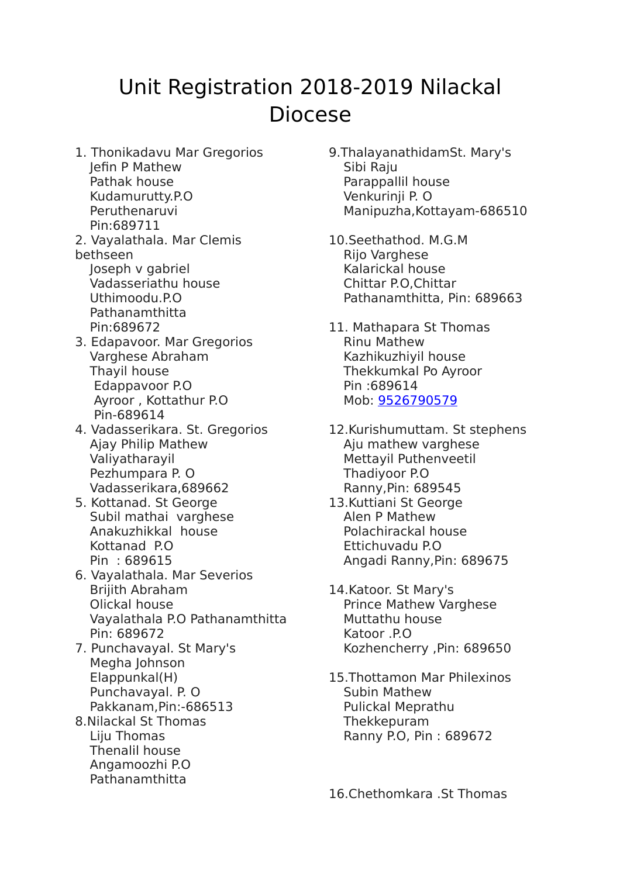## Unit Registration 2018-2019 Nilackal Diocese

- 1. Thonikadavu Mar Gregorios Jefin P Mathew Pathak house Kudamurutty.P.O Peruthenaruvi Pin:689711
- 2. Vayalathala. Mar Clemis bethseen Joseph v gabriel Vadasseriathu house
	- Uthimoodu.P.O Pathanamthitta Pin:689672
- 3. Edapavoor. Mar Gregorios Varghese Abraham Thayil house Edappavoor P.O Ayroor , Kottathur P.O Pin-689614
- 4. Vadasserikara. St. Gregorios Ajay Philip Mathew Valiyatharayil Pezhumpara P. O Vadasserikara,689662
- 5. Kottanad. St George Subil mathai varghese Anakuzhikkal house Kottanad P.O Pin : 689615
- 6. Vayalathala. Mar Severios Brijith Abraham Olickal house Vayalathala P.O Pathanamthitta Pin: 689672
- 7. Punchavayal. St Mary's Megha Johnson Elappunkal(H) Punchavayal. P. O Pakkanam,Pin:-686513
- 8.Nilackal St Thomas Liju Thomas Thenalil house Angamoozhi P.O Pathanamthitta
- 9.ThalayanathidamSt. Mary's Sibi Raju Parappallil house Venkurinji P. O Manipuzha,Kottayam-686510
- 10.Seethathod. M.G.M Rijo Varghese Kalarickal house Chittar P.O,Chittar Pathanamthitta, Pin: 689663
- 11. Mathapara St Thomas Rinu Mathew Kazhikuzhiyil house Thekkumkal Po Ayroor Pin :689614 Mob: [9526790579](tel:(952)%20679-0579)
- 12.Kurishumuttam. St stephens Aju mathew varghese Mettayil Puthenveetil Thadiyoor P.O Ranny,Pin: 689545
- 13.Kuttiani St George Alen P Mathew Polachirackal house Ettichuvadu P.O Angadi Ranny,Pin: 689675
- 14.Katoor. St Mary's Prince Mathew Varghese Muttathu house Katoor .P.O Kozhencherry ,Pin: 689650
- 15.Thottamon Mar Philexinos Subin Mathew Pulickal Meprathu Thekkepuram Ranny P.O, Pin : 689672

16.Chethomkara .St Thomas